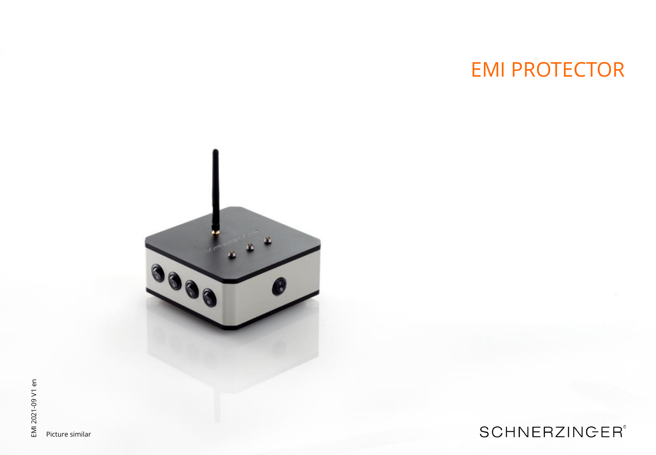# EMI PROTECTOR



**SCHNERZINGER®** 

Picture similar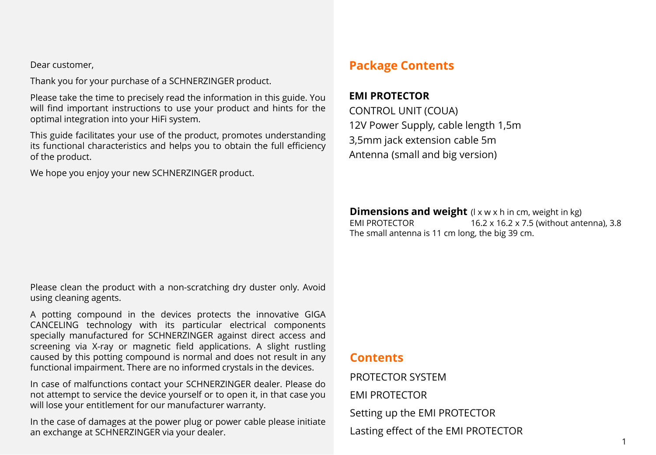Dear customer,

Thank you for your purchase of a SCHNERZINGER product.

Please take the time to precisely read the information in this guide. You will find important instructions to use your product and hints for the optimal integration into your HiFi system.

This guide facilitates your use of the product, promotes understanding its functional characteristics and helps you to obtain the full efficiency of the product.

We hope you enjoy your new SCHNERZINGER product.

# **Package Contents**

### **EMI PROTECTOR**

CONTROL UNIT (COUA) 12V Power Supply, cable length 1,5m 3,5mm jack extension cable 5m Antenna (small and big version)

**Dimensions and weight** (I x w x h in cm, weight in kg)<br>**FMI PROTECTOR** 16.2 x 16.2 x 7.5 (without ant 16.2 x 16.2 x 7.5 (without antenna), 3.8 The small antenna is 11 cm long, the big 39 cm.

Please clean the product with a non-scratching dry duster only. Avoid using cleaning agents.

A potting compound in the devices protects the innovative GIGA CANCELING technology with its particular electrical components specially manufactured for SCHNERZINGER against direct access and screening via X-ray or magnetic field applications. A slight rustling caused by this potting compound is normal and does not result in any functional impairment. There are no informed crystals in the devices.

In case of malfunctions contact your SCHNERZINGER dealer. Please do not attempt to service the device yourself or to open it, in that case you will lose your entitlement for our manufacturer warranty.

In the case of damages at the power plug or power cable please initiate an exchange at SCHNERZINGER via your dealer.

# **Contents**

PROTECTOR SYSTEM EMI PROTECTOR Setting up the EMI PROTECTOR Lasting effect of the EMI PROTECTOR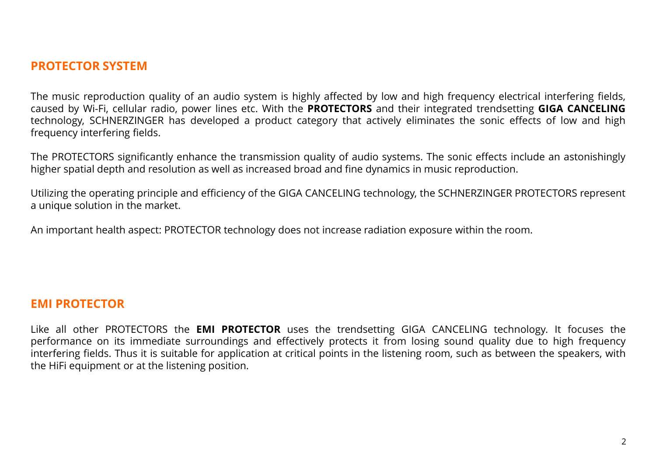# **PROTECTOR SYSTEM**

The music reproduction quality of an audio system is highly affected by low and high frequency electrical interfering fields, caused by Wi-Fi, cellular radio, power lines etc. With the **PROTECTORS** and their integrated trendsetting **GIGA CANCELING** technology, SCHNERZINGER has developed a product category that actively eliminates the sonic effects of low and high frequency interfering fields.

The PROTECTORS significantly enhance the transmission quality of audio systems. The sonic effects include an astonishingly higher spatial depth and resolution as well as increased broad and fine dynamics in music reproduction.

Utilizing the operating principle and efficiency of the GIGA CANCELING technology, the SCHNERZINGER PROTECTORS represent a unique solution in the market.

An important health aspect: PROTECTOR technology does not increase radiation exposure within the room.

## **EMI PROTECTOR**

Like all other PROTECTORS the **EMI PROTECTOR** uses the trendsetting GIGA CANCELING technology. It focuses the performance on its immediate surroundings and effectively protects it from losing sound quality due to high frequency interfering fields. Thus it is suitable for application at critical points in the listening room, such as between the speakers, with the HiFi equipment or at the listening position.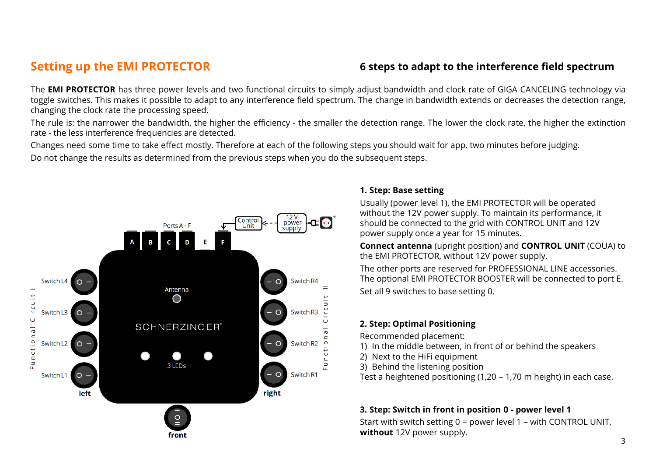# **Setting up the EMI PROTECTOR**

## **6 steps to adapt to the interference field spectrum**

The **EMI PROTECTOR** has three power levels and two functional circuits to simply adjust bandwidth and clock rate of GIGA CANCELING technology via toggle switches. This makes it possible to adapt to any interference field spectrum. The change in bandwidth extends or decreases the detection range, changing the clock rate the processing speed.

The rule is: the narrower the bandwidth, the higher the efficiency - the smaller the detection range. The lower the clock rate, the higher the extinction rate - the less interference frequencies are detected.

Changes need some time to take effect mostly. Therefore at each of the following steps you should wait for app. two minutes before judging. Do not change the results as determined from the previous steps when you do the subsequent steps.



#### **1. Step: Base setting**

Usually (power level 1), the EMI PROTECTOR will be operated without the 12V power supply. To maintain its performance, it should be connected to the grid with CONTROL UNIT and 12V power supply once a year for 15 minutes.

**Connect antenna** (upright position) and **CONTROL UNIT** (COUA) to the EMI PROTECTOR, without 12V power supply.

The other ports are reserved for PROFESSIONAL LINE accessories. The optional EMI PROTECTOR BOOSTER will be connected to port E. Set all 9 switches to base setting 0.

#### **2. Step: Optimal Positioning**

Recommended placement:

- 1) In the middle between, in front of or behind the speakers
- 2) Next to the HiFi equipment
- 3) Behind the listening position

Test a heightened positioning (1,20 – 1,70 m height) in each case.

#### **3. Step: Switch in front in position 0 - power level 1**

Start with switch setting 0 = power level 1 – with CONTROL UNIT, **without** 12V power supply.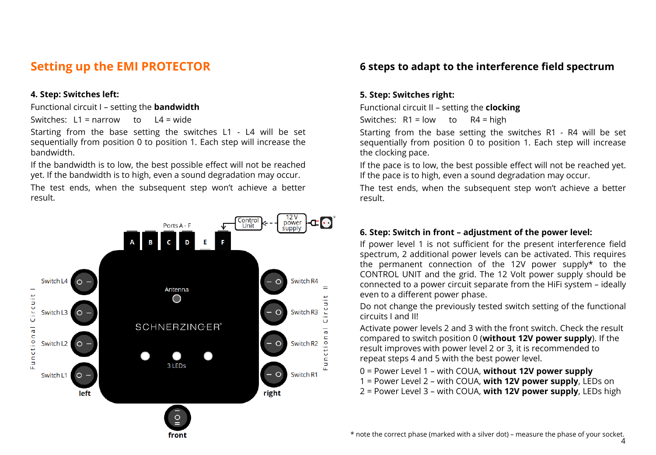# **Setting up the EMI PROTECTOR**

#### **4. Step: Switches left:**

Functional circuit I – setting the **bandwidth**

Switches:  $11 =$  narrow to  $14 =$  wide

Starting from the base setting the switches L1 - L4 will be set sequentially from position 0 to position 1. Each step will increase the bandwidth.

If the bandwidth is to low, the best possible effect will not be reached yet. If the bandwidth is to high, even a sound degradation may occur.

The test ends, when the subsequent step won't achieve a better result.



## **6 steps to adapt to the interference field spectrum**

#### **5. Step: Switches right:**

Functional circuit II – setting the **clocking**

Switches:  $R1 = low$  to  $R4 = high$ 

Starting from the base setting the switches R1 - R4 will be set sequentially from position 0 to position 1. Each step will increase the clocking pace.

If the pace is to low, the best possible effect will not be reached yet. If the pace is to high, even a sound degradation may occur.

The test ends, when the subsequent step won't achieve a better result.

#### **6. Step: Switch in front – adjustment of the power level:**

If power level 1 is not sufficient for the present interference field spectrum, 2 additional power levels can be activated. This requires the permanent connection of the 12V power supply\* to the CONTROL UNIT and the grid. The 12 Volt power supply should be connected to a power circuit separate from the HiFi system – ideally even to a different power phase.

Do not change the previously tested switch setting of the functional circuits I and II!

Activate power levels 2 and 3 with the front switch. Check the result compared to switch position 0 (**without 12V power supply**). If the result improves with power level 2 or 3, it is recommended to repeat steps 4 and 5 with the best power level.

0 = Power Level 1 – with COUA, **without 12V power supply**

- 1 = Power Level 2 with COUA, **with 12V power supply**, LEDs on
- 2 = Power Level 3 with COUA, **with 12V power supply**, LEDs high